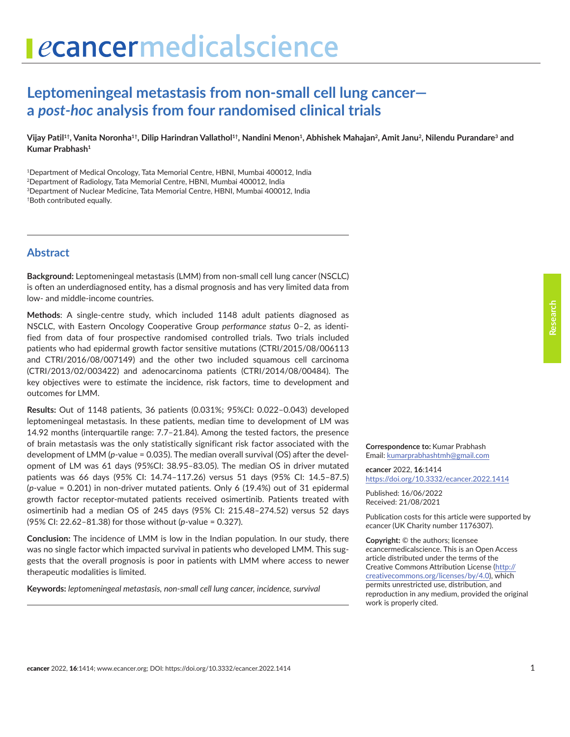# **Leptomeningeal metastasis from non-small cell lung cancer a** *post-hoc* **analysis from four randomised clinical trials**

Vijay Patil<sup>1†</sup>, Vanita Noronha<sup>1†</sup>, Dilip Harindran Vallathol<sup>1†</sup>, Nandini Menon<sup>1</sup>, Abhishek Mahajan<sup>2</sup>, Amit Janu<sup>2</sup>, Nilendu Purandare<sup>3</sup> and **Kumar Prabhash1**

<sup>1</sup>Department of Medical Oncology, Tata Memorial Centre, HBNI, Mumbai 400012, India 2Department of Radiology, Tata Memorial Centre, HBNI, Mumbai 400012, India 3Department of Nuclear Medicine, Tata Memorial Centre, HBNI, Mumbai 400012, India †Both contributed equally.

## **Abstract**

**Background:** Leptomeningeal metastasis (LMM) from non-small cell lung cancer (NSCLC) is often an underdiagnosed entity, has a dismal prognosis and has very limited data from low- and middle-income countries.

**Methods**: A single-centre study, which included 1148 adult patients diagnosed as NSCLC, with Eastern Oncology Cooperative Group *performance status* 0–2, as identified from data of four prospective randomised controlled trials. Two trials included patients who had epidermal growth factor sensitive mutations (CTRI/2015/08/006113 and CTRI/2016/08/007149) and the other two included squamous cell carcinoma (CTRI/2013/02/003422) and adenocarcinoma patients (CTRI/2014/08/00484). The key objectives were to estimate the incidence, risk factors, time to development and outcomes for LMM.

**Results:** Out of 1148 patients, 36 patients (0.031%; 95%CI: 0.022–0.043) developed leptomeningeal metastasis. In these patients, median time to development of LM was 14.92 months (interquartile range: 7.7–21.84). Among the tested factors, the presence of brain metastasis was the only statistically significant risk factor associated with the development of LMM (*p*-value = 0.035). The median overall survival (OS) after the development of LM was 61 days (95%CI: 38.95–83.05). The median OS in driver mutated patients was 66 days (95% CI: 14.74–117.26) versus 51 days (95% CI: 14.5–87.5) (*p*-value = 0.201) in non-driver mutated patients. Only 6 (19.4%) out of 31 epidermal growth factor receptor-mutated patients received osimertinib. Patients treated with osimertinib had a median OS of 245 days (95% CI: 215.48–274.52) versus 52 days (95% CI: 22.62–81.38) for those without (*p*-value = 0.327).

**Conclusion:** The incidence of LMM is low in the Indian population. In our study, there was no single factor which impacted survival in patients who developed LMM. This suggests that the overall prognosis is poor in patients with LMM where access to newer therapeutic modalities is limited.

**Keywords:** *leptomeningeal metastasis, non-small cell lung cancer, incidence, survival*

**Correspondence to:** Kumar Prabhash Email: [kumarprabhashtmh@gmail.com](mailto:kumarprabhashtmh@gmail.com)

*e***cancer** 2022, **16**:1414 <https://doi.org/10.3332/ecancer.2022.1414>

Published: 16/06/2022 Received: 21/08/2021

Publication costs for this article were supported by *e*cancer (UK Charity number 1176307).

**Copyright:** © the authors; licensee *e*cancermedicalscience. This is an Open Access article distributed under the terms of the Creative Commons Attribution License (http:// creativecommons.org/licenses/by/4.0), which permits unrestricted use, distribution, and reproduction in any medium, provided the original work is properly cited.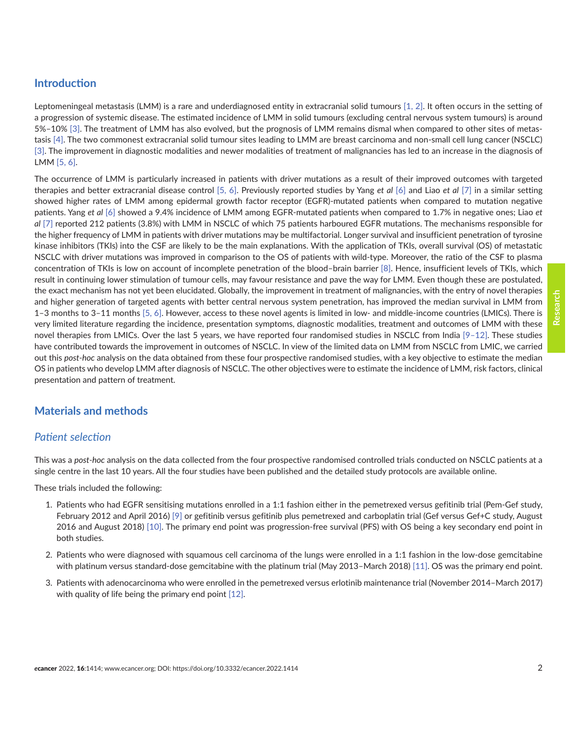# **Introduction**

Leptomeningeal metastasis (LMM) is a rare and underdiagnosed entity in extracranial solid tumours [\[1, 2\].](#page-8-0) It often occurs in the setting of a progression of systemic disease. The estimated incidence of LMM in solid tumours (excluding central nervous system tumours) is around 5%–10% [\[3\].](#page-8-0) The treatment of LMM has also evolved, but the prognosis of LMM remains dismal when compared to other sites of metastasis [\[4\]](#page-8-0). The two commonest extracranial solid tumour sites leading to LMM are breast carcinoma and non-small cell lung cancer (NSCLC) [\[3\].](#page-8-0) The improvement in diagnostic modalities and newer modalities of treatment of malignancies has led to an increase in the diagnosis of LMM [\[5, 6\]](#page-8-0).

The occurrence of LMM is particularly increased in patients with driver mutations as a result of their improved outcomes with targeted therapies and better extracranial disease control [\[5,](#page-8-0) [6\]](#page-8-0). Previously reported studies by Yang *et al* [\[6\]](#page-8-0) and Liao *et al* [\[7\]](#page-8-0) in a similar setting showed higher rates of LMM among epidermal growth factor receptor (EGFR)-mutated patients when compared to mutation negative patients. Yang *et al* [\[6\]](#page-8-0) showed a 9.4% incidence of LMM among EGFR-mutated patients when compared to 1.7% in negative ones; Liao *et al* [\[7\]](#page-8-0) reported 212 patients (3.8%) with LMM in NSCLC of which 75 patients harboured EGFR mutations. The mechanisms responsible for the higher frequency of LMM in patients with driver mutations may be multifactorial. Longer survival and insufficient penetration of tyrosine kinase inhibitors (TKIs) into the CSF are likely to be the main explanations. With the application of TKIs, overall survival (OS) of metastatic NSCLC with driver mutations was improved in comparison to the OS of patients with wild-type. Moreover, the ratio of the CSF to plasma concentration of TKIs is low on account of incomplete penetration of the blood–brain barrier [\[8\].](#page-8-0) Hence, insufficient levels of TKIs, which result in continuing lower stimulation of tumour cells, may favour resistance and pave the way for LMM. Even though these are postulated, the exact mechanism has not yet been elucidated. Globally, the improvement in treatment of malignancies, with the entry of novel therapies and higher generation of targeted agents with better central nervous system penetration, has improved the median survival in LMM from 1–3 months to 3–11 months [\[5,](#page-8-0) [6\].](#page-8-0) However, access to these novel agents is limited in low- and middle-income countries (LMICs). There is very limited literature regarding the incidence, presentation symptoms, diagnostic modalities, treatment and outcomes of LMM with these novel therapies from LMICs. Over the last 5 years, we have reported four randomised studies in NSCLC from India [\[9–](#page-8-0)[12\].](#page-9-0) These studies have contributed towards the improvement in outcomes of NSCLC. In view of the limited data on LMM from NSCLC from LMIC, we carried out this *post-hoc* analysis on the data obtained from these four prospective randomised studies, with a key objective to estimate the median OS in patients who develop LMM after diagnosis of NSCLC. The other objectives were to estimate the incidence of LMM, risk factors, clinical presentation and pattern of treatment.

# **Materials and methods**

### *Patient selection*

This was a *post-hoc* analysis on the data collected from the four prospective randomised controlled trials conducted on NSCLC patients at a single centre in the last 10 years. All the four studies have been published and the detailed study protocols are available online.

These trials included the following:

- 1. Patients who had EGFR sensitising mutations enrolled in a 1:1 fashion either in the pemetrexed versus gefitinib trial (Pem-Gef study, February 2012 and April 2016) [\[9\]](#page-8-0) or gefitinib versus gefitinib plus pemetrexed and carboplatin trial (Gef versus Gef+C study, August 2016 and August 2018) [\[10\].](#page-8-0) The primary end point was progression-free survival (PFS) with OS being a key secondary end point in both studies.
- 2. Patients who were diagnosed with squamous cell carcinoma of the lungs were enrolled in a 1:1 fashion in the low-dose gemcitabine with platinum versus standard-dose gemcitabine with the platinum trial (May 2013–March 2018) [\[11\]](#page-8-0). OS was the primary end point.
- 3. Patients with adenocarcinoma who were enrolled in the pemetrexed versus erlotinib maintenance trial (November 2014–March 2017) with quality of life being the primary end point [\[12\].](#page-9-0)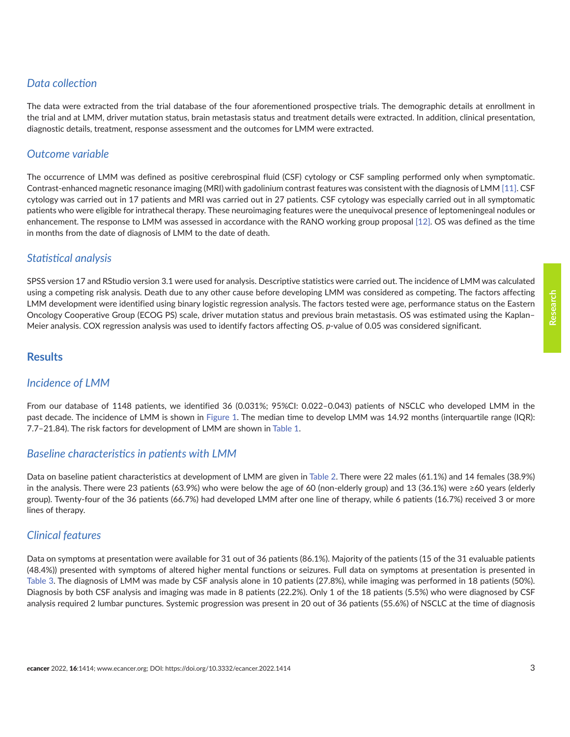# *Data collection*

The data were extracted from the trial database of the four aforementioned prospective trials. The demographic details at enrollment in the trial and at LMM, driver mutation status, brain metastasis status and treatment details were extracted. In addition, clinical presentation, diagnostic details, treatment, response assessment and the outcomes for LMM were extracted.

# *Outcome variable*

The occurrence of LMM was defined as positive cerebrospinal fluid (CSF) cytology or CSF sampling performed only when symptomatic. Contrast-enhanced magnetic resonance imaging (MRI) with gadolinium contrast features was consistent with the diagnosis of LMM [\[11\]](#page-8-0). CSF cytology was carried out in 17 patients and MRI was carried out in 27 patients. CSF cytology was especially carried out in all symptomatic patients who were eligible for intrathecal therapy. These neuroimaging features were the unequivocal presence of leptomeningeal nodules or enhancement. The response to LMM was assessed in accordance with the RANO working group proposal [\[12\]](#page-9-0). OS was defined as the time in months from the date of diagnosis of LMM to the date of death.

## *Statistical analysis*

SPSS version 17 and RStudio version 3.1 were used for analysis. Descriptive statistics were carried out. The incidence of LMM was calculated using a competing risk analysis. Death due to any other cause before developing LMM was considered as competing. The factors affecting LMM development were identified using binary logistic regression analysis. The factors tested were age, performance status on the Eastern Oncology Cooperative Group (ECOG PS) scale, driver mutation status and previous brain metastasis. OS was estimated using the Kaplan– Meier analysis. COX regression analysis was used to identify factors affecting OS. *p*-value of 0.05 was considered significant.

## **Results**

### *Incidence of LMM*

From our database of 1148 patients, we identified 36 (0.031%; 95%CI: 0.022–0.043) patients of NSCLC who developed LMM in the past decade. The incidence of LMM is shown in [Figure 1.](#page-3-0) The median time to develop LMM was 14.92 months (interquartile range (IQR): 7.7–21.84). The risk factors for development of LMM are shown in [Table 1](#page-3-0).

### *Baseline characteristics in patients with LMM*

Data on baseline patient characteristics at development of LMM are given in [Table 2.](#page-4-0) There were 22 males (61.1%) and 14 females (38.9%) in the analysis. There were 23 patients (63.9%) who were below the age of 60 (non-elderly group) and 13 (36.1%) were ≥60 years (elderly group). Twenty-four of the 36 patients (66.7%) had developed LMM after one line of therapy, while 6 patients (16.7%) received 3 or more lines of therapy.

### *Clinical features*

Data on symptoms at presentation were available for 31 out of 36 patients (86.1%). Majority of the patients (15 of the 31 evaluable patients (48.4%)) presented with symptoms of altered higher mental functions or seizures. Full data on symptoms at presentation is presented in [Table 3.](#page-5-0) The diagnosis of LMM was made by CSF analysis alone in 10 patients (27.8%), while imaging was performed in 18 patients (50%). Diagnosis by both CSF analysis and imaging was made in 8 patients (22.2%). Only 1 of the 18 patients (5.5%) who were diagnosed by CSF analysis required 2 lumbar punctures. Systemic progression was present in 20 out of 36 patients (55.6%) of NSCLC at the time of diagnosis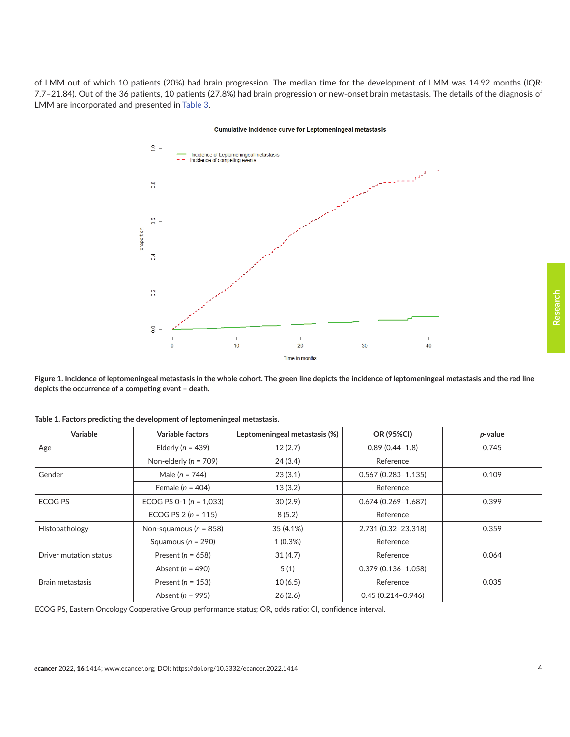<span id="page-3-0"></span>of LMM out of which 10 patients (20%) had brain progression. The median time for the development of LMM was 14.92 months (IQR: 7.7–21.84). Out of the 36 patients, 10 patients (27.8%) had brain progression or new-onset brain metastasis. The details of the diagnosis of LMM are incorporated and presented in [Table 3](#page-5-0).

#### Cumulative incidence curve for Leptomeningeal metastasis



**Figure 1. Incidence of leptomeningeal metastasis in the whole cohort. The green line depicts the incidence of leptomeningeal metastasis and the red line depicts the occurrence of a competing event – death.** 

| Variable               | Variable factors            | Leptomeningeal metastasis (%) | OR (95%CI)             | p-value |
|------------------------|-----------------------------|-------------------------------|------------------------|---------|
| Age                    | Elderly ( $n = 439$ )       | 12(2.7)                       | $0.89(0.44 - 1.8)$     | 0.745   |
|                        | Non-elderly ( $n = 709$ )   | 24(3.4)                       | Reference              |         |
| Gender                 | Male ( $n = 744$ )          | 23(3.1)                       | $0.567(0.283 - 1.135)$ | 0.109   |
|                        | Female ( $n = 404$ )        | 13(3.2)                       | Reference              |         |
| <b>ECOG PS</b>         | ECOG PS 0-1 ( $n = 1,033$ ) | 30(2.9)                       | $0.674(0.269 - 1.687)$ | 0.399   |
|                        | ECOG PS $2(n = 115)$        | 8(5.2)                        | Reference              |         |
| Histopathology         | Non-squamous ( $n = 858$ )  | 35 (4.1%)                     | 2.731 (0.32-23.318)    | 0.359   |
|                        | Squamous ( $n = 290$ )      | $1(0.3\%)$                    | Reference              |         |
| Driver mutation status | Present ( $n = 658$ )       | 31(4.7)                       | Reference              | 0.064   |
|                        | Absent ( $n = 490$ )        | 5(1)                          | $0.379(0.136 - 1.058)$ |         |
| Brain metastasis       | Present ( $n = 153$ )       | 10(6.5)                       | Reference              | 0.035   |
|                        | Absent ( $n = 995$ )        | 26(2.6)                       | $0.45(0.214 - 0.946)$  |         |

**Table 1. Factors predicting the development of leptomeningeal metastasis.**

ECOG PS, Eastern Oncology Cooperative Group performance status; OR, odds ratio; CI, confidence interval.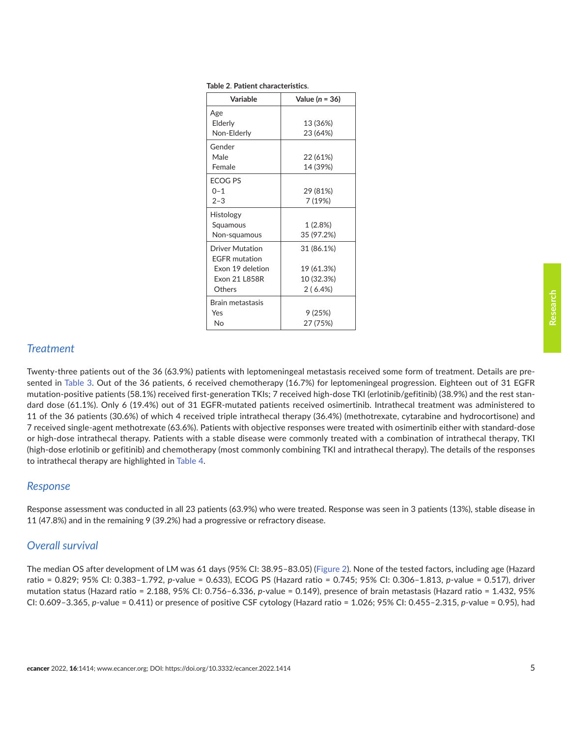| ı<br>ł |
|--------|
|        |
|        |
|        |
|        |

| Variable               | Value ( $n = 36$ ) |  |
|------------------------|--------------------|--|
| Age                    |                    |  |
| Elderly                | 13 (36%)           |  |
| Non-Elderly            | 23 (64%)           |  |
| Gender                 |                    |  |
| Male                   | 22 (61%)           |  |
| Female                 | 14 (39%)           |  |
| <b>ECOG PS</b>         |                    |  |
| $0 - 1$                | 29 (81%)           |  |
| $2 - 3$                | 7 (19%)            |  |
| Histology              |                    |  |
| Squamous               | 1(2.8%)            |  |
| Non-squamous           | 35 (97.2%)         |  |
| <b>Driver Mutation</b> | 31 (86.1%)         |  |
| <b>FGFR</b> mutation   |                    |  |
| Exon 19 deletion       | 19 (61.3%)         |  |
| Exon 21   858R         | 10 (32.3%)         |  |
| Others                 | 2(6.4%)            |  |
| Brain metastasis       |                    |  |
| Yes                    | 9 (25%)            |  |
| N٥                     | 27 (75%)           |  |

<span id="page-4-0"></span>**Table 2**. **Patient characteristics**.

### *Treatment*

Twenty-three patients out of the 36 (63.9%) patients with leptomeningeal metastasis received some form of treatment. Details are presented in [Table 3.](#page-5-0) Out of the 36 patients, 6 received chemotherapy (16.7%) for leptomeningeal progression. Eighteen out of 31 EGFR mutation-positive patients (58.1%) received first-generation TKIs; 7 received high-dose TKI (erlotinib/gefitinib) (38.9%) and the rest standard dose (61.1%). Only 6 (19.4%) out of 31 EGFR-mutated patients received osimertinib. Intrathecal treatment was administered to 11 of the 36 patients (30.6%) of which 4 received triple intrathecal therapy (36.4%) (methotrexate, cytarabine and hydrocortisone) and 7 received single-agent methotrexate (63.6%). Patients with objective responses were treated with osimertinib either with standard-dose or high-dose intrathecal therapy. Patients with a stable disease were commonly treated with a combination of intrathecal therapy, TKI (high-dose erlotinib or gefitinib) and chemotherapy (most commonly combining TKI and intrathecal therapy). The details of the responses to intrathecal therapy are highlighted in [Table 4.](#page-6-0)

### *Response*

Response assessment was conducted in all 23 patients (63.9%) who were treated. Response was seen in 3 patients (13%), stable disease in 11 (47.8%) and in the remaining 9 (39.2%) had a progressive or refractory disease.

### *Overall survival*

The median OS after development of LM was 61 days (95% CI: 38.95–83.05) ([Figure 2\)](#page-6-0). None of the tested factors, including age (Hazard ratio = 0.829; 95% CI: 0.383–1.792, *p*-value = 0.633), ECOG PS (Hazard ratio = 0.745; 95% CI: 0.306–1.813, *p*-value = 0.517), driver mutation status (Hazard ratio = 2.188, 95% CI: 0.756–6.336, *p*-value = 0.149), presence of brain metastasis (Hazard ratio = 1.432, 95% CI: 0.609–3.365, *p*-value = 0.411) or presence of positive CSF cytology (Hazard ratio = 1.026; 95% CI: 0.455–2.315, *p-*value = 0.95), had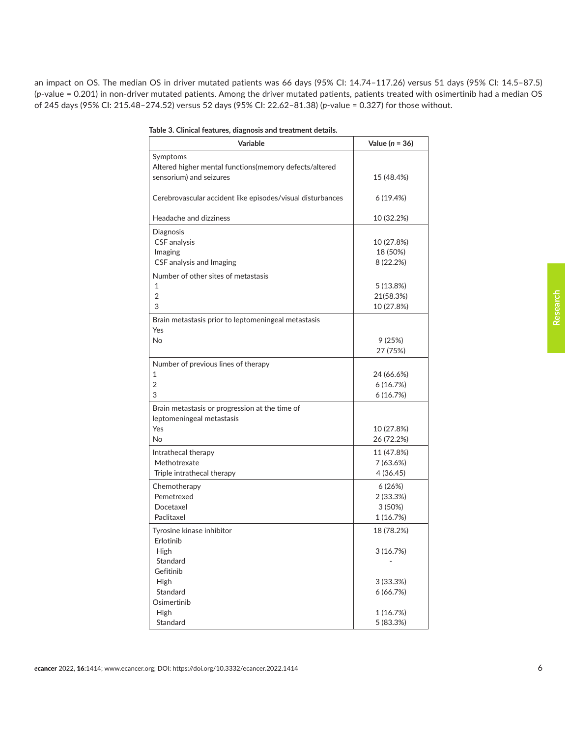<span id="page-5-0"></span>an impact on OS. The median OS in driver mutated patients was 66 days (95% CI: 14.74–117.26) versus 51 days (95% CI: 14.5–87.5) (*p*-value = 0.201) in non-driver mutated patients. Among the driver mutated patients, patients treated with osimertinib had a median OS of 245 days (95% CI: 215.48–274.52) versus 52 days (95% CI: 22.62–81.38) (*p*-value = 0.327) for those without.

| Table 3. Clinical features, diagnosis and treatment details. |  |  |  |  |
|--------------------------------------------------------------|--|--|--|--|
| Variable                                                     |  |  |  |  |
| Symptoms                                                     |  |  |  |  |

| <b>Variable</b>                                                                                      | Value ( $n = 36$ )                          |
|------------------------------------------------------------------------------------------------------|---------------------------------------------|
| Symptoms<br>Altered higher mental functions(memory defects/altered<br>sensorium) and seizures        | 15 (48.4%)                                  |
| Cerebrovascular accident like episodes/visual disturbances                                           | 6(19.4%)                                    |
| Headache and dizziness                                                                               | 10 (32.2%)                                  |
| Diagnosis<br><b>CSF</b> analysis<br>Imaging<br>CSF analysis and Imaging                              | 10 (27.8%)<br>18 (50%)<br>8 (22.2%)         |
| Number of other sites of metastasis<br>$\mathbf{1}$<br>$\overline{2}$<br>3                           | 5 (13.8%)<br>21(58.3%)<br>10 (27.8%)        |
| Brain metastasis prior to leptomeningeal metastasis<br>Yes<br><b>No</b>                              | 9(25%)<br>27 (75%)                          |
| Number of previous lines of therapy<br>1<br>2<br>3                                                   | 24 (66.6%)<br>6(16.7%)<br>6(16.7%)          |
| Brain metastasis or progression at the time of<br>leptomeningeal metastasis<br>Yes<br>N <sub>o</sub> | 10 (27.8%)<br>26 (72.2%)                    |
| Intrathecal therapy<br>Methotrexate<br>Triple intrathecal therapy                                    | 11 (47.8%)<br>7 (63.6%)<br>4(36.45)         |
| Chemotherapy<br>Pemetrexed<br>Docetaxel<br>Paclitaxel                                                | 6 (26%)<br>2 (33.3%)<br>3(50%)<br>1 (16.7%) |
| Tyrosine kinase inhibitor<br>Erlotinib<br>High                                                       | 18 (78.2%)<br>3(16.7%)                      |
| Standard<br>Gefitinib                                                                                |                                             |
| High<br>Standard<br>Osimertinib                                                                      | 3 (33.3%)<br>6(66.7%)                       |
| <b>High</b><br>Standard                                                                              | 1 (16.7%)<br>5 (83.3%)                      |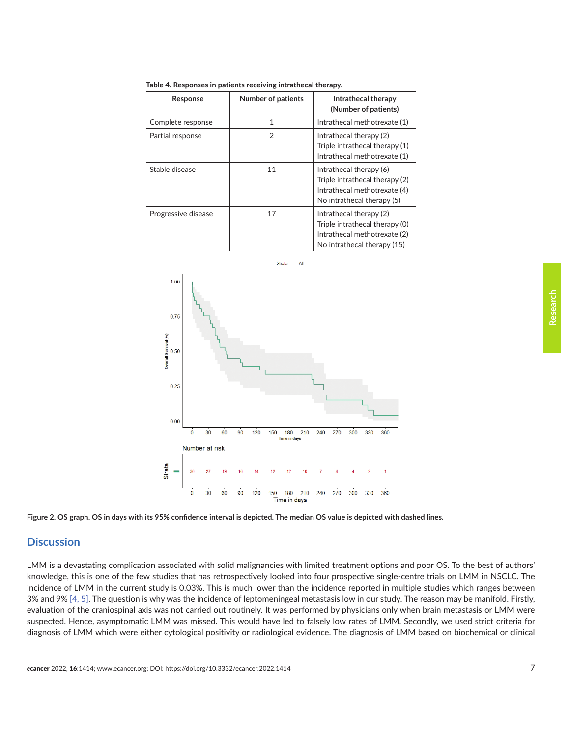| Response            | <b>Number of patients</b> | Intrathecal therapy<br>(Number of patients)                                                                              |
|---------------------|---------------------------|--------------------------------------------------------------------------------------------------------------------------|
| Complete response   | 1                         | Intrathecal methotrexate (1)                                                                                             |
| Partial response    | 2                         | Intrathecal therapy (2)<br>Triple intrathecal therapy (1)<br>Intrathecal methotrexate (1)                                |
| Stable disease      | 11                        | Intrathecal therapy (6)<br>Triple intrathecal therapy (2)<br>Intrathecal methotrexate (4)<br>No intrathecal therapy (5)  |
| Progressive disease | 17                        | Intrathecal therapy (2)<br>Triple intrathecal therapy (0)<br>Intrathecal methotrexate (2)<br>No intrathecal therapy (15) |

<span id="page-6-0"></span>**Table 4. Responses in patients receiving intrathecal therapy.**



**Figure 2. OS graph. OS in days with its 95% confidence interval is depicted. The median OS value is depicted with dashed lines.**

### **Discussion**

LMM is a devastating complication associated with solid malignancies with limited treatment options and poor OS. To the best of authors' knowledge, this is one of the few studies that has retrospectively looked into four prospective single-centre trials on LMM in NSCLC. The incidence of LMM in the current study is 0.03%. This is much lower than the incidence reported in multiple studies which ranges between 3% and 9% [\[4, 5\]](#page-8-0). The question is why was the incidence of leptomeningeal metastasis low in our study. The reason may be manifold. Firstly, evaluation of the craniospinal axis was not carried out routinely. It was performed by physicians only when brain metastasis or LMM were suspected. Hence, asymptomatic LMM was missed. This would have led to falsely low rates of LMM. Secondly, we used strict criteria for diagnosis of LMM which were either cytological positivity or radiological evidence. The diagnosis of LMM based on biochemical or clinical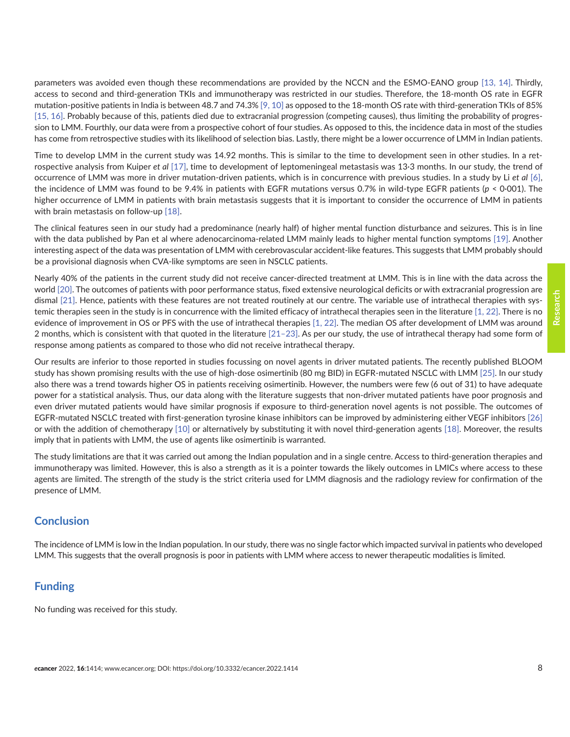parameters was avoided even though these recommendations are provided by the NCCN and the ESMO-EANO group [\[13, 14\].](#page-9-0) Thirdly, access to second and third-generation TKIs and immunotherapy was restricted in our studies. Therefore, the 18-month OS rate in EGFR mutation-positive patients in India is between 48.7 and 74.3% [\[9, 10\]](#page-8-0) as opposed to the 18-month OS rate with third-generation TKIs of 85% [\[15,](#page-9-0) [16\].](#page-9-0) Probably because of this, patients died due to extracranial progression (competing causes), thus limiting the probability of progression to LMM. Fourthly, our data were from a prospective cohort of four studies. As opposed to this, the incidence data in most of the studies has come from retrospective studies with its likelihood of selection bias. Lastly, there might be a lower occurrence of LMM in Indian patients.

Time to develop LMM in the current study was 14.92 months. This is similar to the time to development seen in other studies. In a retrospective analysis from Kuiper *et al* [\[17\]](#page-9-0), time to development of leptomeningeal metastasis was 13·3 months. In our study, the trend of occurrence of LMM was more in driver mutation-driven patients, which is in concurrence with previous studies. In a study by Li *et al* [\[6\],](#page-8-0) the incidence of LMM was found to be 9.4% in patients with EGFR mutations versus 0.7% in wild-type EGFR patients (*p* < 0·001). The higher occurrence of LMM in patients with brain metastasis suggests that it is important to consider the occurrence of LMM in patients with brain metastasis on follow-up [\[18\]](#page-9-0).

The clinical features seen in our study had a predominance (nearly half) of higher mental function disturbance and seizures. This is in line with the data published by Pan et al where adenocarcinoma-related LMM mainly leads to higher mental function symptoms [\[19\]](#page-9-0). Another interesting aspect of the data was presentation of LMM with cerebrovascular accident-like features. This suggests that LMM probably should be a provisional diagnosis when CVA-like symptoms are seen in NSCLC patients.

Nearly 40% of the patients in the current study did not receive cancer-directed treatment at LMM. This is in line with the data across the world [\[20\].](#page-9-0) The outcomes of patients with poor performance status, fixed extensive neurological deficits or with extracranial progression are dismal [\[21\].](#page-9-0) Hence, patients with these features are not treated routinely at our centre. The variable use of intrathecal therapies with systemic therapies seen in the study is in concurrence with the limited efficacy of intrathecal therapies seen in the literature [\[1,](#page-8-0) [22\].](#page-9-0) There is no evidence of improvement in OS or PFS with the use of intrathecal therapies [\[1,](#page-8-0) [22\].](#page-9-0) The median OS after development of LMM was around 2 months, which is consistent with that quoted in the literature [\[21–23\]](#page-9-0). As per our study, the use of intrathecal therapy had some form of response among patients as compared to those who did not receive intrathecal therapy.

Our results are inferior to those reported in studies focussing on novel agents in driver mutated patients. The recently published BLOOM study has shown promising results with the use of high-dose osimertinib (80 mg BID) in EGFR-mutated NSCLC with LMM [\[25\].](#page-9-0) In our study also there was a trend towards higher OS in patients receiving osimertinib. However, the numbers were few (6 out of 31) to have adequate power for a statistical analysis. Thus, our data along with the literature suggests that non-driver mutated patients have poor prognosis and even driver mutated patients would have similar prognosis if exposure to third-generation novel agents is not possible. The outcomes of EGFR-mutated NSCLC treated with first-generation tyrosine kinase inhibitors can be improved by administering either VEGF inhibitors [\[26\]](#page-9-0) or with the addition of chemotherapy [\[10\]](#page-8-0) or alternatively by substituting it with novel third-generation agents [\[18\].](#page-9-0) Moreover, the results imply that in patients with LMM, the use of agents like osimertinib is warranted.

The study limitations are that it was carried out among the Indian population and in a single centre. Access to third-generation therapies and immunotherapy was limited. However, this is also a strength as it is a pointer towards the likely outcomes in LMICs where access to these agents are limited. The strength of the study is the strict criteria used for LMM diagnosis and the radiology review for confirmation of the presence of LMM.

# **Conclusion**

The incidence of LMM is low in the Indian population. In our study, there was no single factor which impacted survival in patients who developed LMM. This suggests that the overall prognosis is poor in patients with LMM where access to newer therapeutic modalities is limited.

# **Funding**

No funding was received for this study.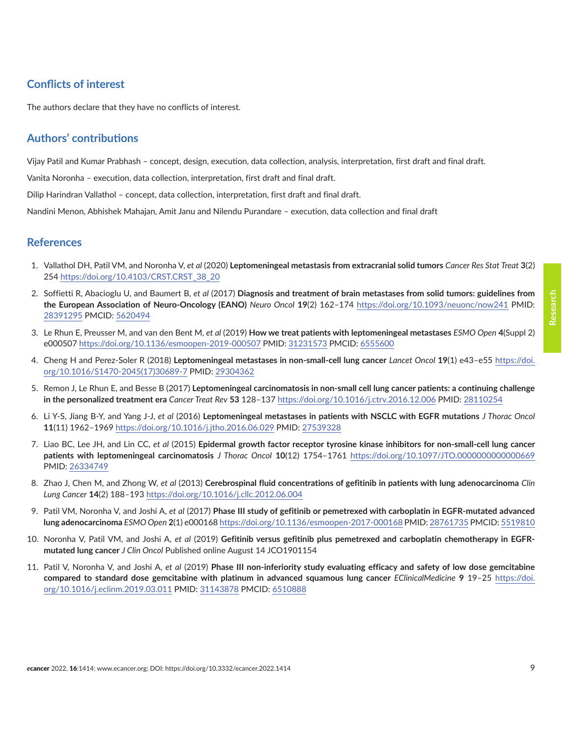# <span id="page-8-0"></span>**Conflicts of interest**

The authors declare that they have no conflicts of interest.

# **Authors' contributions**

Vijay Patil and Kumar Prabhash – concept, design, execution, data collection, analysis, interpretation, first draft and final draft.

Vanita Noronha – execution, data collection, interpretation, first draft and final draft.

Dilip Harindran Vallathol – concept, data collection, interpretation, first draft and final draft.

Nandini Menon, Abhishek Mahajan, Amit Janu and Nilendu Purandare – execution, data collection and final draft

### **References**

- 1. Vallathol DH, Patil VM, and Noronha V, *et al* (2020) **Leptomeningeal metastasis from extracranial solid tumors** *Cancer Res Stat Treat* **3**(2) 254 [https://doi.org/10.4103/CRST.CRST\\_38\\_20](https://doi.org/10.4103/CRST.CRST_38_20)
- 2. Soffietti R, Abacioglu U, and Baumert B, *et al* (2017) **Diagnosis and treatment of brain metastases from solid tumors: guidelines from the European Association of Neuro-Oncology (EANO)** *[Neuro Oncol](http://paperpile.com/b/fOD8HP/lGXV)* **19**(2) 162–174 <https://doi.org/10.1093/neuonc/now241> PMID: [28391295](http://www.ncbi.nlm.nih.gov/pubmed/28391295) PMCID: [5620494](http://www.ncbi.nlm.nih.gov/pmc/articles/PMC5620494)
- 3. Le Rhun E, Preusser M, and van den Bent M, *et al* (2019) **How we treat patients with leptomeningeal metastases** *[ESMO Open](http://paperpile.com/b/fOD8HP/yLME)* **4**(Suppl 2) e000507<https://doi.org/10.1136/esmoopen-2019-000507> PMID: [31231573](http://www.ncbi.nlm.nih.gov/pubmed/31231573) PMCID: [6555600](http://www.ncbi.nlm.nih.gov/pmc/articles/PMC6555600)
- 4. Cheng H and Perez-Soler R (2018) **Leptomeningeal metastases in non-small-cell lung cancer** *[Lancet Oncol](http://paperpile.com/b/fOD8HP/Pg74)* **19**(1) e43–e55 [https://doi.](https://doi.org/10.1016/S1470-2045(17)30689-7) [org/10.1016/S1470-2045\(17\)30689-7](https://doi.org/10.1016/S1470-2045(17)30689-7) PMID: [29304362](http://www.ncbi.nlm.nih.gov/pubmed/29304362)
- 5. Remon J, Le Rhun E, and Besse B (2017) **Leptomeningeal carcinomatosis in non-small cell lung cancer patients: a continuing challenge in the personalized treatment era** *[Cancer Treat Rev](http://paperpile.com/b/fOD8HP/nrfX)* **53** 128–137<https://doi.org/10.1016/j.ctrv.2016.12.006> PMID: [28110254](http://www.ncbi.nlm.nih.gov/pubmed/28110254)
- 6. Li Y-S, Jiang B-Y, and Yang J-J, *et al* (2016) **Leptomeningeal metastases in patients with NSCLC with EGFR mutations** *[J Thorac Oncol](http://paperpile.com/b/fOD8HP/QtDo)* **11**(11) 1962–1969<https://doi.org/10.1016/j.jtho.2016.06.029>PMID: [27539328](http://www.ncbi.nlm.nih.gov/pubmed/27539328)
- 7. Liao BC, Lee JH, and Lin CC, *et al* (2015) **Epidermal growth factor receptor tyrosine kinase inhibitors for non-small-cell lung cancer patients with leptomeningeal carcinomatosis** *J Thorac Oncol* **10**(12) 1754–1761 <https://doi.org/10.1097/JTO.0000000000000669> PMID: [26334749](http://www.ncbi.nlm.nih.gov/pubmed/26334749)
- 8. Zhao J, Chen M, and Zhong W, *et al* (2013) **Cerebrospinal fluid concentrations of gefitinib in patients with lung adenocarcinoma** *Clin Lung Cancer* **14**(2) 188–193<https://doi.org/10.1016/j.cllc.2012.06.004>
- 9. Patil VM, Noronha V, and Joshi A, *et al* (2017) **Phase III study of gefitinib or pemetrexed with carboplatin in EGFR-mutated advanced lung adenocarcinoma** *[ESMO Open](http://paperpile.com/b/fOD8HP/Rf6G)* **2**[\(1\) e000168](http://paperpile.com/b/fOD8HP/Rf6G)<https://doi.org/10.1136/esmoopen-2017-000168>PMID: [28761735](http://www.ncbi.nlm.nih.gov/pubmed/28761735) PMCID: [5519810](http://www.ncbi.nlm.nih.gov/pmc/articles/PMC5519810)
- 10. Noronha V, Patil VM, and Joshi A, *et al* (2019) **Gefitinib versus gefitinib plus pemetrexed and carboplatin chemotherapy in EGFRmutated lung cancer** *[J Clin Oncol](http://paperpile.com/b/fOD8HP/dpFt)* [Published online August 14 JCO1901154](http://paperpile.com/b/fOD8HP/dpFt)
- 11. Patil V, Noronha V, and Joshi A, *et al* (2019) **Phase III non-inferiority study evaluating efficacy and safety of low dose gemcitabine compared to standard dose gemcitabine with platinum in advanced squamous lung cancer** *[EClinicalMedicine](http://paperpile.com/b/fOD8HP/Gsh1)* **9** 19–25 [https://doi.](https://doi.org/10.1016/j.eclinm.2019.03.011) [org/10.1016/j.eclinm.2019.03.011](https://doi.org/10.1016/j.eclinm.2019.03.011) PMID: [31143878](http://www.ncbi.nlm.nih.gov/pubmed/31143878) PMCID: [6510888](http://www.ncbi.nlm.nih.gov/pmc/articles/PMC6510888)